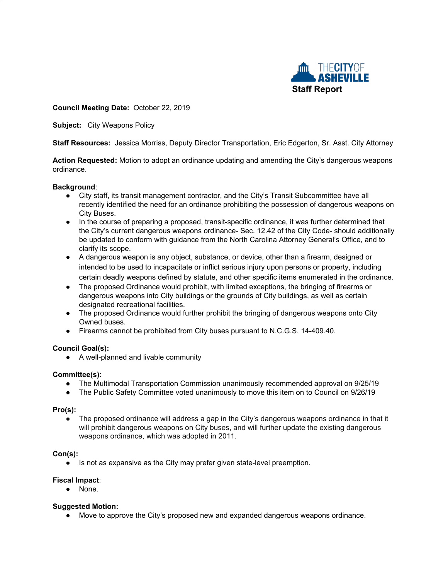

#### **Council Meeting Date:** October 22, 2019

**Subject:** City Weapons Policy

**Staff Resources:** Jessica Morriss, Deputy Director Transportation, Eric Edgerton, Sr. Asst. City Attorney

**Action Requested:** Motion to adopt an ordinance updating and amending the City's dangerous weapons ordinance.

#### **Background**:

- City staff, its transit management contractor, and the City's Transit Subcommittee have all recently identified the need for an ordinance prohibiting the possession of dangerous weapons on City Buses.
- In the course of preparing a proposed, transit-specific ordinance, it was further determined that the City's current dangerous weapons ordinance- Sec. 12.42 of the City Code- should additionally be updated to conform with guidance from the North Carolina Attorney General's Office, and to clarify its scope.
- A dangerous weapon is any object, substance, or device, other than a firearm, designed or intended to be used to incapacitate or inflict serious injury upon persons or property, including certain deadly weapons defined by statute, and other specific items enumerated in the ordinance.
- The proposed Ordinance would prohibit, with limited exceptions, the bringing of firearms or dangerous weapons into City buildings or the grounds of City buildings, as well as certain designated recreational facilities.
- The proposed Ordinance would further prohibit the bringing of dangerous weapons onto City Owned buses.
- Firearms cannot be prohibited from City buses pursuant to N.C.G.S. 14-409.40.

### **Council Goal(s):**

● A well-planned and livable community

#### **Committee(s)**:

- The Multimodal Transportation Commission unanimously recommended approval on 9/25/19
- The Public Safety Committee voted unanimously to move this item on to Council on 9/26/19

#### **Pro(s):**

The proposed ordinance will address a gap in the City's dangerous weapons ordinance in that it will prohibit dangerous weapons on City buses, and will further update the existing dangerous weapons ordinance, which was adopted in 2011.

#### **Con(s):**

● Is not as expansive as the City may prefer given state-level preemption.

#### **Fiscal Impact**:

**●** None.

#### **Suggested Motion:**

**●** Move to approve the City's proposed new and expanded dangerous weapons ordinance.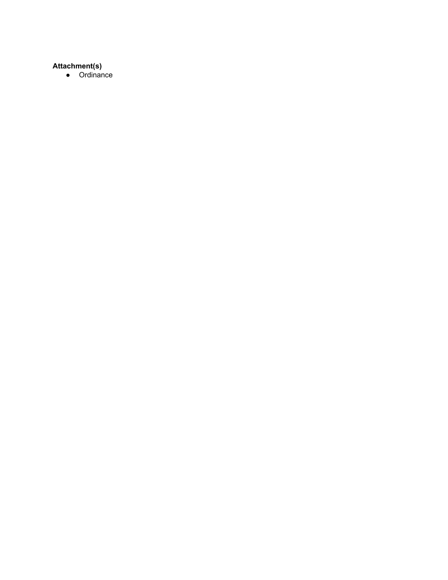# **Attachment(s)**

● Ordinance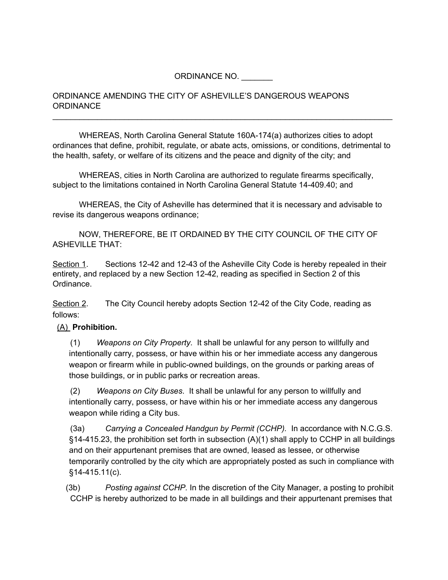### ORDINANCE NO.

### ORDINANCE AMENDING THE CITY OF ASHEVILLE'S DANGEROUS WEAPONS **ORDINANCE**

WHEREAS, North Carolina General Statute 160A-174(a) authorizes cities to adopt ordinances that define, prohibit, regulate, or abate acts, omissions, or conditions, detrimental to the health, safety, or welfare of its citizens and the peace and dignity of the city; and

\_\_\_\_\_\_\_\_\_\_\_\_\_\_\_\_\_\_\_\_\_\_\_\_\_\_\_\_\_\_\_\_\_\_\_\_\_\_\_\_\_\_\_\_\_\_\_\_\_\_\_\_\_\_\_\_\_\_\_\_\_\_\_\_\_\_\_\_\_\_\_\_\_\_\_\_

WHEREAS, cities in North Carolina are authorized to regulate firearms specifically, subject to the limitations contained in North Carolina General Statute 14-409.40; and

WHEREAS, the City of Asheville has determined that it is necessary and advisable to revise its dangerous weapons ordinance;

NOW, THEREFORE, BE IT ORDAINED BY THE CITY COUNCIL OF THE CITY OF ASHEVILLE THAT:

Section 1. Sections 12-42 and 12-43 of the Asheville City Code is hereby repealed in their entirety, and replaced by a new Section 12-42, reading as specified in Section 2 of this Ordinance.

Section 2. The City Council hereby adopts Section 12-42 of the City Code, reading as follows:

### (A) **Prohibition.**

(1) *Weapons on City Property*. It shall be unlawful for any person to willfully and intentionally carry, possess, or have within his or her immediate access any dangerous weapon or firearm while in public-owned buildings, on the grounds or parking areas of those buildings, or in public parks or recreation areas.

(2) *Weapons on City Buses*. It shall be unlawful for any person to willfully and intentionally carry, possess, or have within his or her immediate access any dangerous weapon while riding a City bus.

(3a) *Carrying a Concealed Handgun by Permit (CCHP).* In accordance with N.C.G.S.  $§14-415.23$ , the prohibition set forth in subsection (A)(1) shall apply to CCHP in all buildings and on their appurtenant premises that are owned, leased as lessee, or otherwise temporarily controlled by the city which are appropriately posted as such in compliance with §14-415.11(c).

(3b) *Posting against CCHP.* In the discretion of the City Manager, a posting to prohibit CCHP is hereby authorized to be made in all buildings and their appurtenant premises that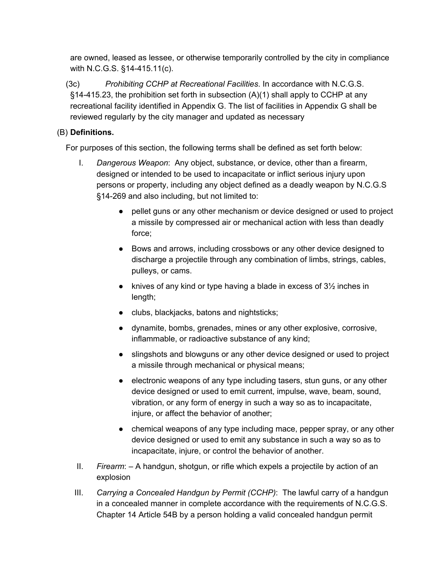are owned, leased as lessee, or otherwise temporarily controlled by the city in compliance with N.C.G.S. §14-415.11(c).

(3c) *Prohibiting CCHP at Recreational Facilities*. In accordance with N.C.G.S.  $§14-415.23$ , the prohibition set forth in subsection  $(A)(1)$  shall apply to CCHP at any recreational facility identified in Appendix G. The list of facilities in Appendix G shall be reviewed regularly by the city manager and updated as necessary

## (B) **Definitions.**

For purposes of this section, the following terms shall be defined as set forth below:

- I. *Dangerous Weapon*: Any object, substance, or device, other than a firearm, designed or intended to be used to incapacitate or inflict serious injury upon persons or property, including any object defined as a deadly weapon by N.C.G.S §14-269 and also including, but not limited to:
	- pellet guns or any other mechanism or device designed or used to project a missile by compressed air or mechanical action with less than deadly force;
	- Bows and arrows, including crossbows or any other device designed to discharge a projectile through any combination of limbs, strings, cables, pulleys, or cams.
	- $\bullet$  knives of any kind or type having a blade in excess of  $3\frac{1}{2}$  inches in length;
	- clubs, blackjacks, batons and nightsticks;
	- dynamite, bombs, grenades, mines or any other explosive, corrosive, inflammable, or radioactive substance of any kind;
	- slingshots and blowguns or any other device designed or used to project a missile through mechanical or physical means;
	- electronic weapons of any type including tasers, stun guns, or any other device designed or used to emit current, impulse, wave, beam, sound, vibration, or any form of energy in such a way so as to incapacitate, injure, or affect the behavior of another;
	- chemical weapons of any type including mace, pepper spray, or any other device designed or used to emit any substance in such a way so as to incapacitate, injure, or control the behavior of another.
- II. *Firearm*: A handgun, shotgun, or rifle which expels a projectile by action of an explosion
- III. *Carrying a Concealed Handgun by Permit (CCHP)*: The lawful carry of a handgun in a concealed manner in complete accordance with the requirements of N.C.G.S. Chapter 14 Article 54B by a person holding a valid concealed handgun permit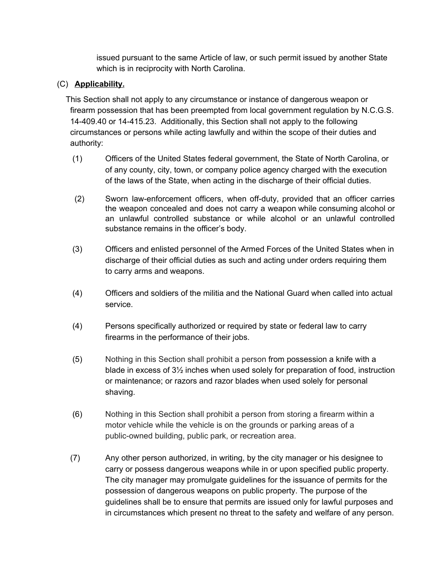issued pursuant to the same Article of law, or such permit issued by another State which is in reciprocity with North Carolina.

## (C) **Applicability.**

This Section shall not apply to any circumstance or instance of dangerous weapon or firearm possession that has been preempted from local government regulation by N.C.G.S. 14-409.40 or 14-415.23. Additionally, this Section shall not apply to the following circumstances or persons while acting lawfully and within the scope of their duties and authority:

- (1) Officers of the United States federal government, the State of North Carolina, or of any county, city, town, or company police agency charged with the execution of the laws of the State, when acting in the discharge of their official duties.
- (2) Sworn law-enforcement officers, when off-duty, provided that an officer carries the weapon concealed and does not carry a weapon while consuming alcohol or an unlawful controlled substance or while alcohol or an unlawful controlled substance remains in the officer's body.
- (3) Officers and enlisted personnel of the Armed Forces of the United States when in discharge of their official duties as such and acting under orders requiring them to carry arms and weapons.
- (4) Officers and soldiers of the militia and the National Guard when called into actual service.
- (4) Persons specifically authorized or required by state or federal law to carry firearms in the performance of their jobs.
- (5) Nothing in this Section shall prohibit a person from possession a knife with a blade in excess of 3½ inches when used solely for preparation of food, instruction or maintenance; or razors and razor blades when used solely for personal shaving.
- (6) Nothing in this Section shall prohibit a person from storing a firearm within a motor vehicle while the vehicle is on the grounds or parking areas of a public-owned building, public park, or recreation area.
- (7) Any other person authorized, in writing, by the city manager or his designee to carry or possess dangerous weapons while in or upon specified public property. The city manager may promulgate guidelines for the issuance of permits for the possession of dangerous weapons on public property. The purpose of the guidelines shall be to ensure that permits are issued only for lawful purposes and in circumstances which present no threat to the safety and welfare of any person.